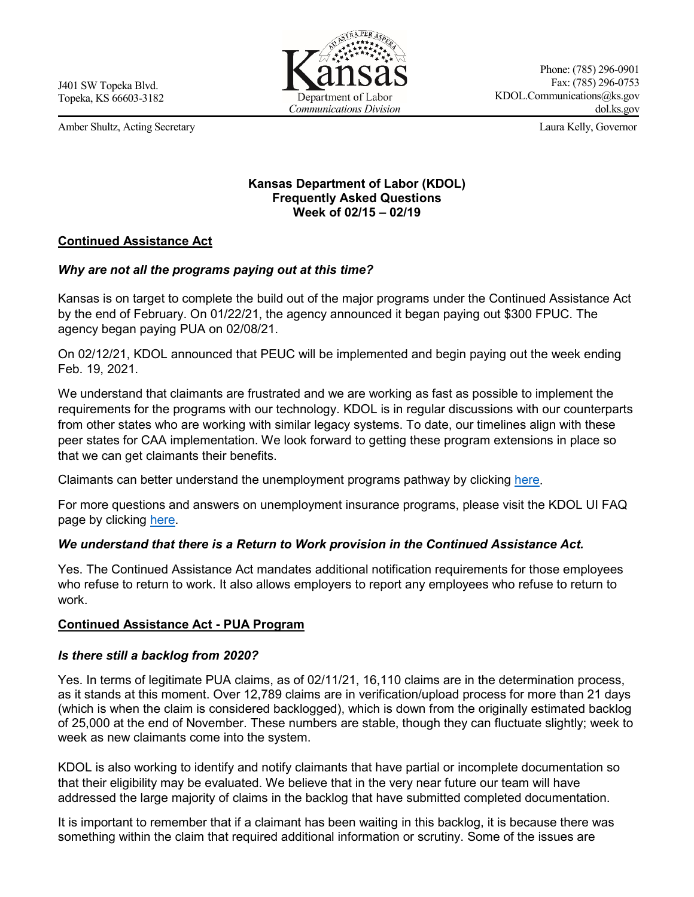Amber Shultz, Acting Secretary Laura Kelly, Governor



Phone: (785) 296-0901 Fax: (785) 296-0753 KDOL.Communications@ks.gov dol.ks.gov

### **Kansas Department of Labor (KDOL) Frequently Asked Questions Week of 02/15 – 02/19**

### **Continued Assistance Act**

### *Why are not all the programs paying out at this time?*

Kansas is on target to complete the build out of the major programs under the Continued Assistance Act by the end of February. On 01/22/21, the agency announced it began paying out \$300 FPUC. The agency began paying PUA on 02/08/21.

On 02/12/21, KDOL announced that PEUC will be implemented and begin paying out the week ending Feb. 19, 2021.

We understand that claimants are frustrated and we are working as fast as possible to implement the requirements for the programs with our technology. KDOL is in regular discussions with our counterparts from other states who are working with similar legacy systems. To date, our timelines align with these peer states for CAA implementation. We look forward to getting these program extensions in place so that we can get claimants their benefits.

Claimants can better understand the unemployment programs pathway by clicking [here.](https://www.dol.ks.gov/docs/default-source/default-document-library/unemployment_programs.pdf)

For more questions and answers on unemployment insurance programs, please visit the KDOL UI FAQ page by clicking [here.](https://www.dol.ks.gov/ui-faqs)

### *We understand that there is a Return to Work provision in the Continued Assistance Act.*

Yes. The Continued Assistance Act mandates additional notification requirements for those employees who refuse to return to work. It also allows employers to report any employees who refuse to return to work.

### **Continued Assistance Act - PUA Program**

### *Is there still a backlog from 2020?*

Yes. In terms of legitimate PUA claims, as of 02/11/21, 16,110 claims are in the determination process, as it stands at this moment. Over 12,789 claims are in verification/upload process for more than 21 days (which is when the claim is considered backlogged), which is down from the originally estimated backlog of 25,000 at the end of November. These numbers are stable, though they can fluctuate slightly; week to week as new claimants come into the system.

KDOL is also working to identify and notify claimants that have partial or incomplete documentation so that their eligibility may be evaluated. We believe that in the very near future our team will have addressed the large majority of claims in the backlog that have submitted completed documentation.

It is important to remember that if a claimant has been waiting in this backlog, it is because there was something within the claim that required additional information or scrutiny. Some of the issues are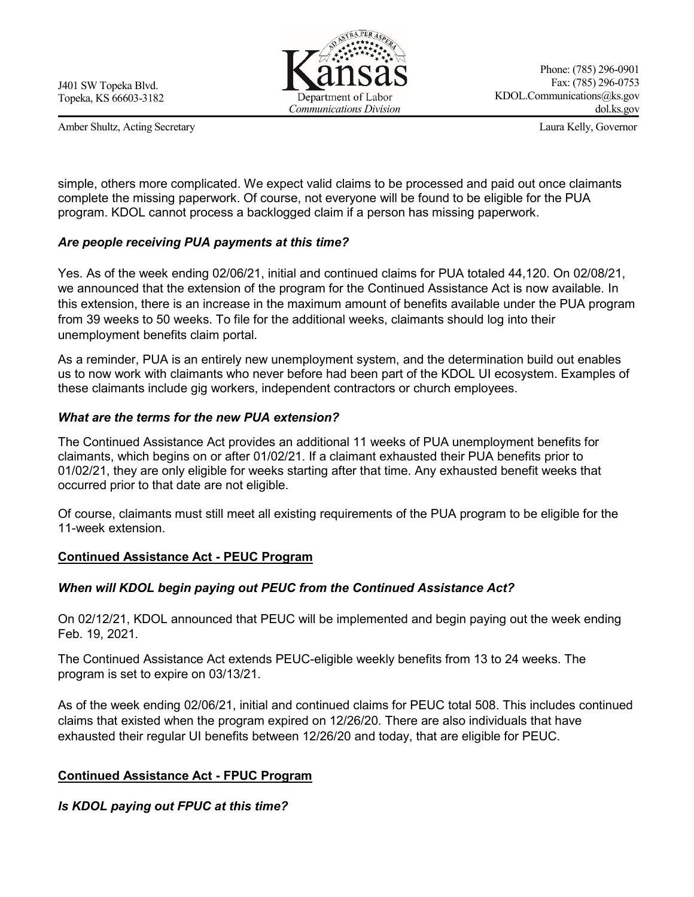Amber Shultz, Acting Secretary Laura Kelly, Governor



Phone: (785) 296-0901 Fax: (785) 296-0753 KDOL.Communications@ks.gov dol.ks.gov

simple, others more complicated. We expect valid claims to be processed and paid out once claimants complete the missing paperwork. Of course, not everyone will be found to be eligible for the PUA program. KDOL cannot process a backlogged claim if a person has missing paperwork.

### *Are people receiving PUA payments at this time?*

Yes. As of the week ending 02/06/21, initial and continued claims for PUA totaled 44,120. On 02/08/21, we announced that the extension of the program for the Continued Assistance Act is now available. In this extension, there is an increase in the maximum amount of benefits available under the PUA program from 39 weeks to 50 weeks. To file for the additional weeks, claimants should log into their unemployment benefits claim portal.

As a reminder, PUA is an entirely new unemployment system, and the determination build out enables us to now work with claimants who never before had been part of the KDOL UI ecosystem. Examples of these claimants include gig workers, independent contractors or church employees.

# *What are the terms for the new PUA extension?*

The Continued Assistance Act provides an additional 11 weeks of PUA unemployment benefits for claimants, which begins on or after 01/02/21. If a claimant exhausted their PUA benefits prior to 01/02/21, they are only eligible for weeks starting after that time. Any exhausted benefit weeks that occurred prior to that date are not eligible.

Of course, claimants must still meet all existing requirements of the PUA program to be eligible for the 11-week extension.

# **Continued Assistance Act - PEUC Program**

# *When will KDOL begin paying out PEUC from the Continued Assistance Act?*

On 02/12/21, KDOL announced that PEUC will be implemented and begin paying out the week ending Feb. 19, 2021.

The Continued Assistance Act extends PEUC-eligible weekly benefits from 13 to 24 weeks. The program is set to expire on 03/13/21.

As of the week ending 02/06/21, initial and continued claims for PEUC total 508. This includes continued claims that existed when the program expired on 12/26/20. There are also individuals that have exhausted their regular UI benefits between 12/26/20 and today, that are eligible for PEUC.

### **Continued Assistance Act - FPUC Program**

*Is KDOL paying out FPUC at this time?*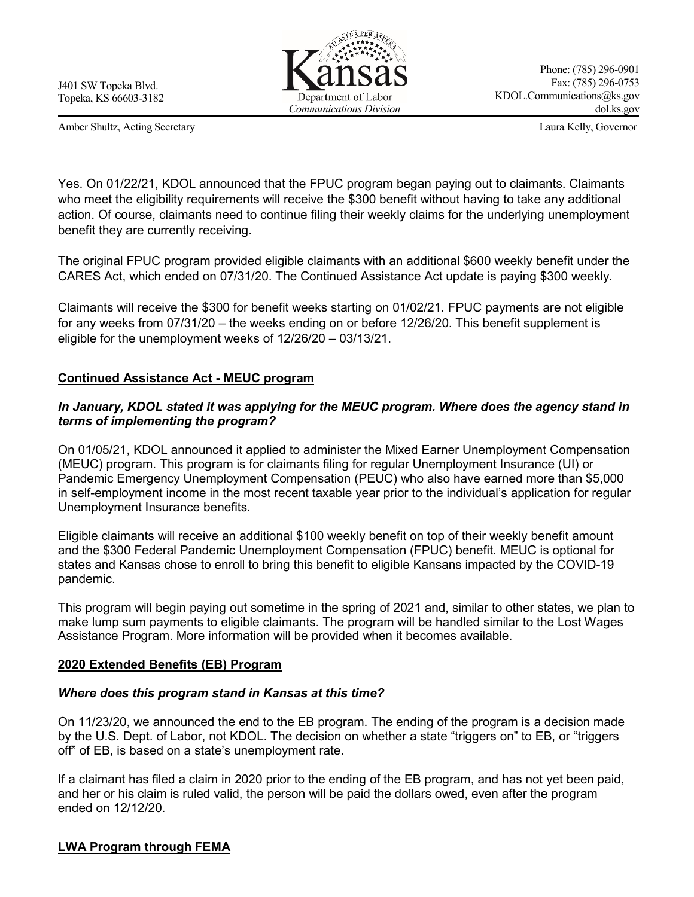Amber Shultz, Acting Secretary Laura Kelly, Governor



Yes. On 01/22/21, KDOL announced that the FPUC program began paying out to claimants. Claimants who meet the eligibility requirements will receive the \$300 benefit without having to take any additional action. Of course, claimants need to continue filing their weekly claims for the underlying unemployment benefit they are currently receiving.

The original FPUC program provided eligible claimants with an additional \$600 weekly benefit under the CARES Act, which ended on 07/31/20. The Continued Assistance Act update is paying \$300 weekly.

Claimants will receive the \$300 for benefit weeks starting on 01/02/21. FPUC payments are not eligible for any weeks from 07/31/20 – the weeks ending on or before 12/26/20. This benefit supplement is eligible for the unemployment weeks of 12/26/20 – 03/13/21.

# **Continued Assistance Act - MEUC program**

## *In January, KDOL stated it was applying for the MEUC program. Where does the agency stand in terms of implementing the program?*

On 01/05/21, KDOL announced it applied to administer the Mixed Earner Unemployment Compensation (MEUC) program. This program is for claimants filing for regular Unemployment Insurance (UI) or Pandemic Emergency Unemployment Compensation (PEUC) who also have earned more than \$5.000 in self-employment income in the most recent taxable year prior to the individual's application for regular Unemployment Insurance benefits.

Eligible claimants will receive an additional \$100 weekly benefit on top of their weekly benefit amount and the \$300 Federal Pandemic Unemployment Compensation (FPUC) benefit. MEUC is optional for states and Kansas chose to enroll to bring this benefit to eligible Kansans impacted by the COVID-19 pandemic.

This program will begin paying out sometime in the spring of 2021 and, similar to other states, we plan to make lump sum payments to eligible claimants. The program will be handled similar to the Lost Wages Assistance Program. More information will be provided when it becomes available.

### **2020 Extended Benefits (EB) Program**

### *Where does this program stand in Kansas at this time?*

On 11/23/20, we announced the end to the EB program. The ending of the program is a decision made by the U.S. Dept. of Labor, not KDOL. The decision on whether a state "triggers on" to EB, or "triggers off" of EB, is based on a state's unemployment rate.

If a claimant has filed a claim in 2020 prior to the ending of the EB program, and has not yet been paid, and her or his claim is ruled valid, the person will be paid the dollars owed, even after the program ended on 12/12/20.

### **LWA Program through FEMA**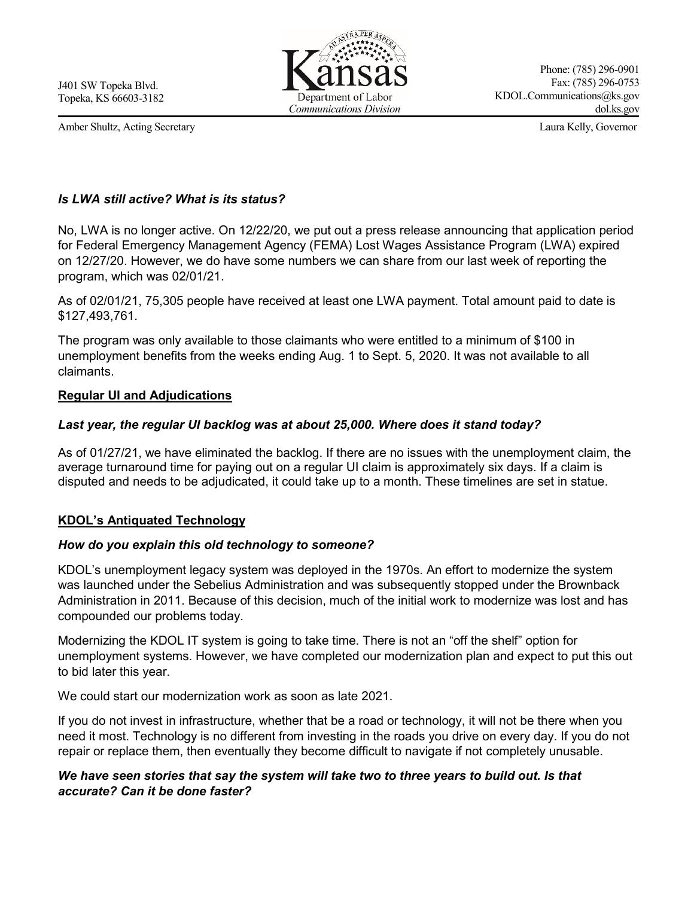Amber Shultz, Acting Secretary Laura Kelly, Governor



Phone: (785) 296-0901 Fax: (785) 296-0753 KDOL.Communications@ks.gov dol.ks.gov

# *Is LWA still active? What is its status?*

No, LWA is no longer active. On 12/22/20, we put out a press release announcing that application period for Federal Emergency Management Agency (FEMA) Lost Wages Assistance Program (LWA) expired on 12/27/20. However, we do have some numbers we can share from our last week of reporting the program, which was 02/01/21.

As of 02/01/21, 75,305 people have received at least one LWA payment. Total amount paid to date is \$127,493,761.

The program was only available to those claimants who were entitled to a minimum of \$100 in unemployment benefits from the weeks ending Aug. 1 to Sept. 5, 2020. It was not available to all claimants.

### **Regular UI and Adjudications**

# *Last year, the regular UI backlog was at about 25,000. Where does it stand today?*

As of 01/27/21, we have eliminated the backlog. If there are no issues with the unemployment claim, the average turnaround time for paying out on a regular UI claim is approximately six days. If a claim is disputed and needs to be adjudicated, it could take up to a month. These timelines are set in statue.

### **KDOL's Antiquated Technology**

### *How do you explain this old technology to someone?*

KDOL's unemployment legacy system was deployed in the 1970s. An effort to modernize the system was launched under the Sebelius Administration and was subsequently stopped under the Brownback Administration in 2011. Because of this decision, much of the initial work to modernize was lost and has compounded our problems today.

Modernizing the KDOL IT system is going to take time. There is not an "off the shelf" option for unemployment systems. However, we have completed our modernization plan and expect to put this out to bid later this year.

We could start our modernization work as soon as late 2021.

If you do not invest in infrastructure, whether that be a road or technology, it will not be there when you need it most. Technology is no different from investing in the roads you drive on every day. If you do not repair or replace them, then eventually they become difficult to navigate if not completely unusable.

# *We have seen stories that say the system will take two to three years to build out. Is that accurate? Can it be done faster?*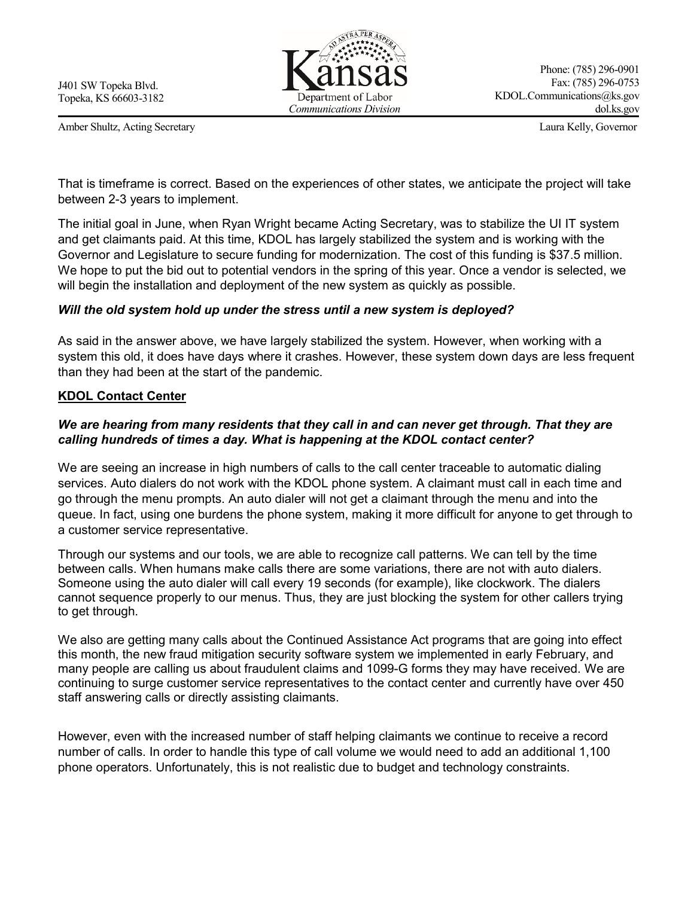Amber Shultz, Acting Secretary Laura Kelly, Governor



Phone: (785) 296-0901 Fax: (785) 296-0753 KDOL.Communications@ks.gov dol.ks.gov

That is timeframe is correct. Based on the experiences of other states, we anticipate the project will take between 2-3 years to implement.

The initial goal in June, when Ryan Wright became Acting Secretary, was to stabilize the UI IT system and get claimants paid. At this time, KDOL has largely stabilized the system and is working with the Governor and Legislature to secure funding for modernization. The cost of this funding is \$37.5 million. We hope to put the bid out to potential vendors in the spring of this year. Once a vendor is selected, we will begin the installation and deployment of the new system as quickly as possible.

### *Will the old system hold up under the stress until a new system is deployed?*

As said in the answer above, we have largely stabilized the system. However, when working with a system this old, it does have days where it crashes. However, these system down days are less frequent than they had been at the start of the pandemic.

#### **KDOL Contact Center**

### *We are hearing from many residents that they call in and can never get through. That they are calling hundreds of times a day. What is happening at the KDOL contact center?*

We are seeing an increase in high numbers of calls to the call center traceable to automatic dialing services. Auto dialers do not work with the KDOL phone system. A claimant must call in each time and go through the menu prompts. An auto dialer will not get a claimant through the menu and into the queue. In fact, using one burdens the phone system, making it more difficult for anyone to get through to a customer service representative.

Through our systems and our tools, we are able to recognize call patterns. We can tell by the time between calls. When humans make calls there are some variations, there are not with auto dialers. Someone using the auto dialer will call every 19 seconds (for example), like clockwork. The dialers cannot sequence properly to our menus. Thus, they are just blocking the system for other callers trying to get through.

We also are getting many calls about the Continued Assistance Act programs that are going into effect this month, the new fraud mitigation security software system we implemented in early February, and many people are calling us about fraudulent claims and 1099-G forms they may have received. We are continuing to surge customer service representatives to the contact center and currently have over 450 staff answering calls or directly assisting claimants.

However, even with the increased number of staff helping claimants we continue to receive a record number of calls. In order to handle this type of call volume we would need to add an additional 1,100 phone operators. Unfortunately, this is not realistic due to budget and technology constraints.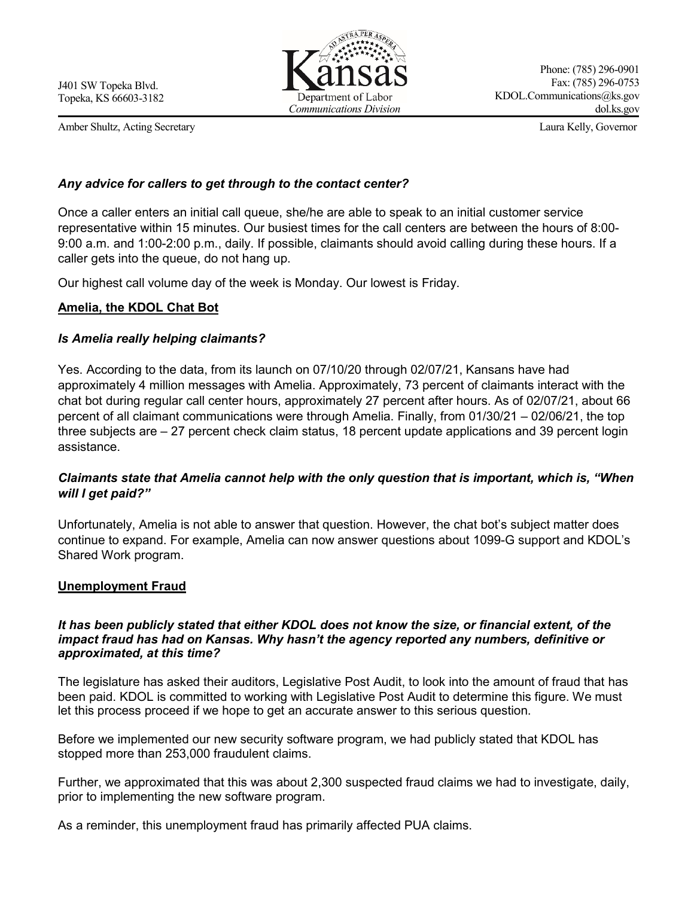Amber Shultz, Acting Secretary Laura Kelly, Governor



Phone: (785) 296-0901 Fax: (785) 296-0753 KDOL.Communications@ks.gov dol.ks.gov

### *Any advice for callers to get through to the contact center?*

Once a caller enters an initial call queue, she/he are able to speak to an initial customer service representative within 15 minutes. Our busiest times for the call centers are between the hours of 8:00- 9:00 a.m. and 1:00-2:00 p.m., daily. If possible, claimants should avoid calling during these hours. If a caller gets into the queue, do not hang up.

Our highest call volume day of the week is Monday. Our lowest is Friday.

### **Amelia, the KDOL Chat Bot**

### *Is Amelia really helping claimants?*

Yes. According to the data, from its launch on 07/10/20 through 02/07/21, Kansans have had approximately 4 million messages with Amelia. Approximately, 73 percent of claimants interact with the chat bot during regular call center hours, approximately 27 percent after hours. As of 02/07/21, about 66 percent of all claimant communications were through Amelia. Finally, from 01/30/21 – 02/06/21, the top three subjects are – 27 percent check claim status, 18 percent update applications and 39 percent login assistance.

# *Claimants state that Amelia cannot help with the only question that is important, which is, "When will I get paid?"*

Unfortunately, Amelia is not able to answer that question. However, the chat bot's subject matter does continue to expand. For example, Amelia can now answer questions about 1099-G support and KDOL's Shared Work program.

### **Unemployment Fraud**

#### *It has been publicly stated that either KDOL does not know the size, or financial extent, of the impact fraud has had on Kansas. Why hasn't the agency reported any numbers, definitive or approximated, at this time?*

The legislature has asked their auditors, Legislative Post Audit, to look into the amount of fraud that has been paid. KDOL is committed to working with Legislative Post Audit to determine this figure. We must let this process proceed if we hope to get an accurate answer to this serious question.

Before we implemented our new security software program, we had publicly stated that KDOL has stopped more than 253,000 fraudulent claims.

Further, we approximated that this was about 2,300 suspected fraud claims we had to investigate, daily, prior to implementing the new software program.

As a reminder, this unemployment fraud has primarily affected PUA claims.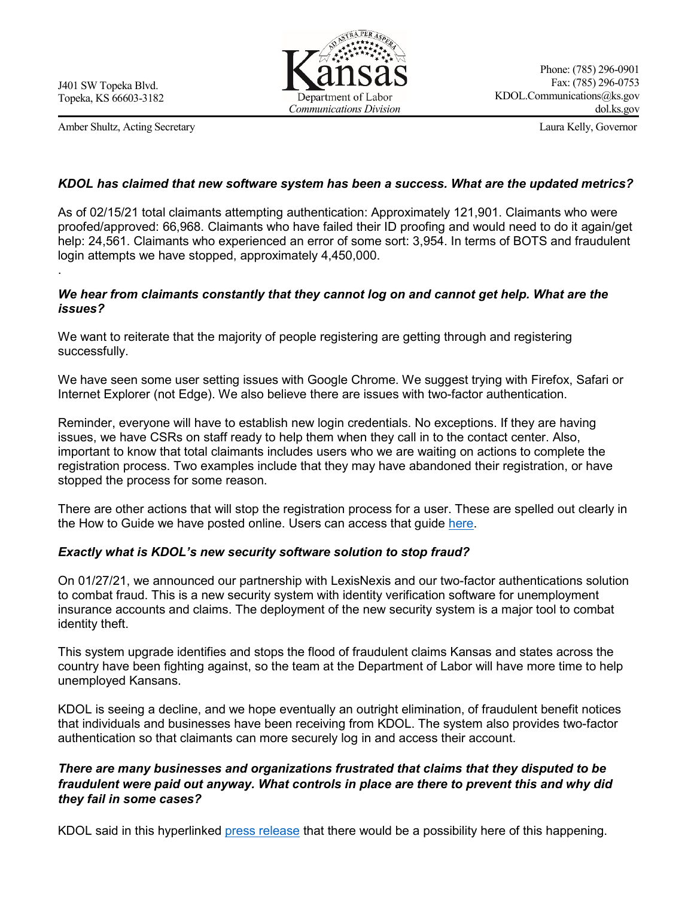.

Amber Shultz, Acting Secretary Laura Kelly, Governor



#### *KDOL has claimed that new software system has been a success. What are the updated metrics?*

As of 02/15/21 total claimants attempting authentication: Approximately 121,901. Claimants who were proofed/approved: 66,968. Claimants who have failed their ID proofing and would need to do it again/get help: 24,561. Claimants who experienced an error of some sort: 3,954. In terms of BOTS and fraudulent login attempts we have stopped, approximately 4,450,000.

#### *We hear from claimants constantly that they cannot log on and cannot get help. What are the issues?*

We want to reiterate that the majority of people registering are getting through and registering successfully.

We have seen some user setting issues with Google Chrome. We suggest trying with Firefox, Safari or Internet Explorer (not Edge). We also believe there are issues with two-factor authentication.

Reminder, everyone will have to establish new login credentials. No exceptions. If they are having issues, we have CSRs on staff ready to help them when they call in to the contact center. Also, important to know that total claimants includes users who we are waiting on actions to complete the registration process. Two examples include that they may have abandoned their registration, or have stopped the process for some reason.

There are other actions that will stop the registration process for a user. These are spelled out clearly in the How to Guide we have posted online. Users can access that guide [here.](https://www.dol.ks.gov/docs/default-source/ui-benefits-forms/how-to-register-with-okta.pdf)

### *Exactly what is KDOL's new security software solution to stop fraud?*

On 01/27/21, we announced our partnership with LexisNexis and our two-factor authentications solution to combat fraud. This is a new security system with identity verification software for unemployment insurance accounts and claims. The deployment of the new security system is a major tool to combat identity theft.

This system upgrade identifies and stops the flood of fraudulent claims Kansas and states across the country have been fighting against, so the team at the Department of Labor will have more time to help unemployed Kansans.

KDOL is seeing a decline, and we hope eventually an outright elimination, of fraudulent benefit notices that individuals and businesses have been receiving from KDOL. The system also provides two-factor authentication so that claimants can more securely log in and access their account.

## *There are many businesses and organizations frustrated that claims that they disputed to be fraudulent were paid out anyway. What controls in place are there to prevent this and why did they fail in some cases?*

KDOL said in this hyperlinked [press release](https://www.dol.ks.gov/docs/default-source/home-page-news/2021/kdol-announces-ui-tax-related-call-center-1099-mailing.pdf?sfvrsn=d07d851f_6) that there would be a possibility here of this happening.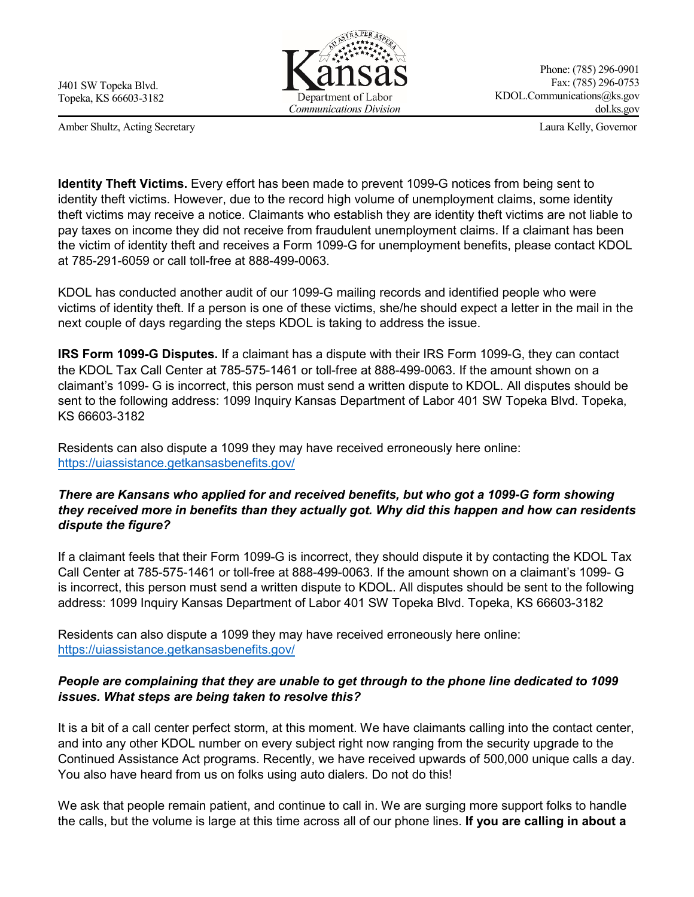Amber Shultz, Acting Secretary Laura Kelly, Governor



Phone: (785) 296-0901 Fax: (785) 296-0753 KDOL.Communications@ks.gov dol.ks.gov

**Identity Theft Victims.** Every effort has been made to prevent 1099-G notices from being sent to identity theft victims. However, due to the record high volume of unemployment claims, some identity theft victims may receive a notice. Claimants who establish they are identity theft victims are not liable to pay taxes on income they did not receive from fraudulent unemployment claims. If a claimant has been the victim of identity theft and receives a Form 1099-G for unemployment benefits, please contact KDOL at 785-291-6059 or call toll-free at 888-499-0063.

KDOL has conducted another audit of our 1099-G mailing records and identified people who were victims of identity theft. If a person is one of these victims, she/he should expect a letter in the mail in the next couple of days regarding the steps KDOL is taking to address the issue.

**IRS Form 1099-G Disputes.** If a claimant has a dispute with their IRS Form 1099-G, they can contact the KDOL Tax Call Center at 785-575-1461 or toll-free at 888-499-0063. If the amount shown on a claimant's 1099- G is incorrect, this person must send a written dispute to KDOL. All disputes should be sent to the following address: 1099 Inquiry Kansas Department of Labor 401 SW Topeka Blvd. Topeka, KS 66603-3182

Residents can also dispute a 1099 they may have received erroneously here online: <https://uiassistance.getkansasbenefits.gov/>

# *There are Kansans who applied for and received benefits, but who got a 1099-G form showing they received more in benefits than they actually got. Why did this happen and how can residents dispute the figure?*

If a claimant feels that their Form 1099-G is incorrect, they should dispute it by contacting the KDOL Tax Call Center at 785-575-1461 or toll-free at 888-499-0063. If the amount shown on a claimant's 1099- G is incorrect, this person must send a written dispute to KDOL. All disputes should be sent to the following address: 1099 Inquiry Kansas Department of Labor 401 SW Topeka Blvd. Topeka, KS 66603-3182

Residents can also dispute a 1099 they may have received erroneously here online: <https://uiassistance.getkansasbenefits.gov/>

# *People are complaining that they are unable to get through to the phone line dedicated to 1099 issues. What steps are being taken to resolve this?*

It is a bit of a call center perfect storm, at this moment. We have claimants calling into the contact center, and into any other KDOL number on every subject right now ranging from the security upgrade to the Continued Assistance Act programs. Recently, we have received upwards of 500,000 unique calls a day. You also have heard from us on folks using auto dialers. Do not do this!

We ask that people remain patient, and continue to call in. We are surging more support folks to handle the calls, but the volume is large at this time across all of our phone lines. **If you are calling in about a**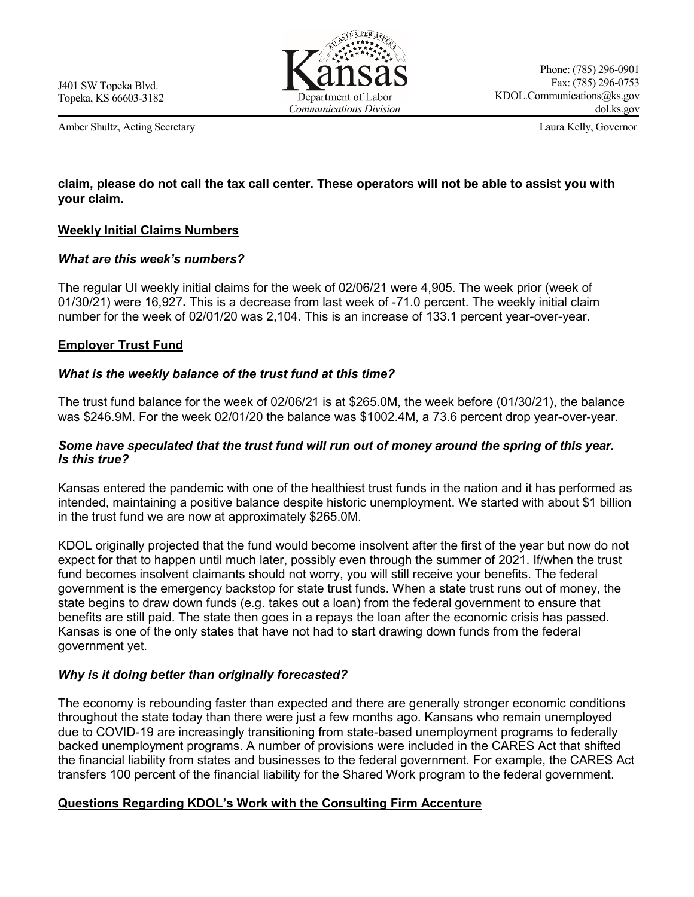Amber Shultz, Acting Secretary Laura Kelly, Governor



Phone: (785) 296-0901 Fax: (785) 296-0753 KDOL.Communications@ks.gov dol.ks.gov

# **claim, please do not call the tax call center. These operators will not be able to assist you with your claim.**

### **Weekly Initial Claims Numbers**

### *What are this week's numbers?*

The regular UI weekly initial claims for the week of 02/06/21 were 4,905. The week prior (week of 01/30/21) were 16,927**.** This is a decrease from last week of -71.0 percent. The weekly initial claim number for the week of 02/01/20 was 2,104. This is an increase of 133.1 percent year-over-year.

#### **Employer Trust Fund**

#### *What is the weekly balance of the trust fund at this time?*

The trust fund balance for the week of 02/06/21 is at \$265.0M, the week before (01/30/21), the balance was \$246.9M. For the week 02/01/20 the balance was \$1002.4M, a 73.6 percent drop year-over-year.

#### *Some have speculated that the trust fund will run out of money around the spring of this year. Is this true?*

Kansas entered the pandemic with one of the healthiest trust funds in the nation and it has performed as intended, maintaining a positive balance despite historic unemployment. We started with about \$1 billion in the trust fund we are now at approximately \$265.0M.

KDOL originally projected that the fund would become insolvent after the first of the year but now do not expect for that to happen until much later, possibly even through the summer of 2021. If/when the trust fund becomes insolvent claimants should not worry, you will still receive your benefits. The federal government is the emergency backstop for state trust funds. When a state trust runs out of money, the state begins to draw down funds (e.g. takes out a loan) from the federal government to ensure that benefits are still paid. The state then goes in a repays the loan after the economic crisis has passed. Kansas is one of the only states that have not had to start drawing down funds from the federal government yet.

### *Why is it doing better than originally forecasted?*

The economy is rebounding faster than expected and there are generally stronger economic conditions throughout the state today than there were just a few months ago. Kansans who remain unemployed due to COVID-19 are increasingly transitioning from state-based unemployment programs to federally backed unemployment programs. A number of provisions were included in the CARES Act that shifted the financial liability from states and businesses to the federal government. For example, the CARES Act transfers 100 percent of the financial liability for the Shared Work program to the federal government.

### **Questions Regarding KDOL's Work with the Consulting Firm Accenture**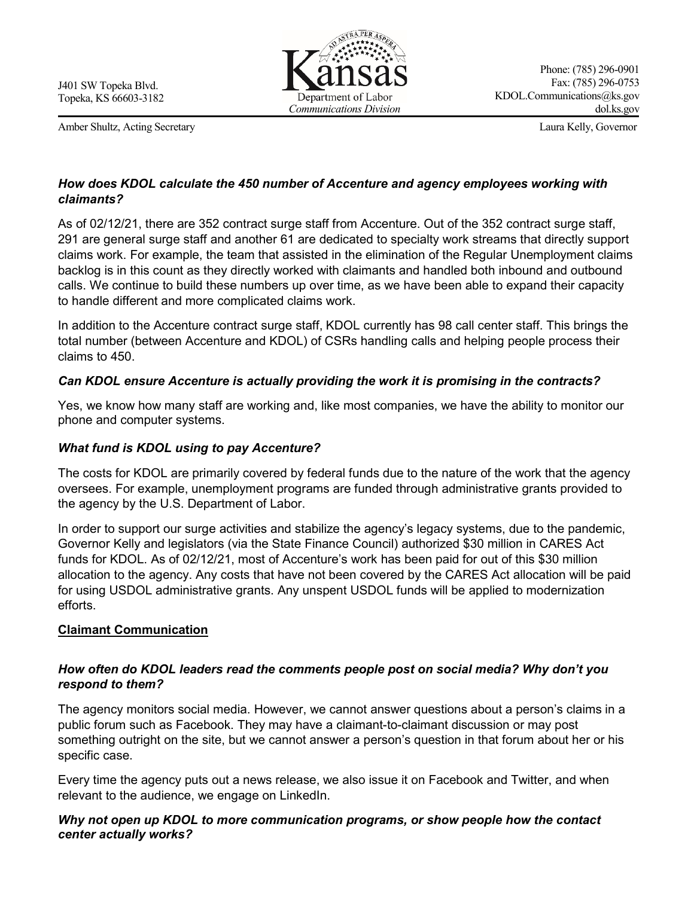Amber Shultz, Acting Secretary Laura Kelly, Governor



# *How does KDOL calculate the 450 number of Accenture and agency employees working with claimants?*

As of 02/12/21, there are 352 contract surge staff from Accenture. Out of the 352 contract surge staff, 291 are general surge staff and another 61 are dedicated to specialty work streams that directly support claims work. For example, the team that assisted in the elimination of the Regular Unemployment claims backlog is in this count as they directly worked with claimants and handled both inbound and outbound calls. We continue to build these numbers up over time, as we have been able to expand their capacity to handle different and more complicated claims work.

In addition to the Accenture contract surge staff, KDOL currently has 98 call center staff. This brings the total number (between Accenture and KDOL) of CSRs handling calls and helping people process their claims to 450.

# *Can KDOL ensure Accenture is actually providing the work it is promising in the contracts?*

Yes, we know how many staff are working and, like most companies, we have the ability to monitor our phone and computer systems.

# *What fund is KDOL using to pay Accenture?*

The costs for KDOL are primarily covered by federal funds due to the nature of the work that the agency oversees. For example, unemployment programs are funded through administrative grants provided to the agency by the U.S. Department of Labor.

In order to support our surge activities and stabilize the agency's legacy systems, due to the pandemic, Governor Kelly and legislators (via the State Finance Council) authorized \$30 million in CARES Act funds for KDOL. As of 02/12/21, most of Accenture's work has been paid for out of this \$30 million allocation to the agency. Any costs that have not been covered by the CARES Act allocation will be paid for using USDOL administrative grants. Any unspent USDOL funds will be applied to modernization efforts.

# **Claimant Communication**

# *How often do KDOL leaders read the comments people post on social media? Why don't you respond to them?*

The agency monitors social media. However, we cannot answer questions about a person's claims in a public forum such as Facebook. They may have a claimant-to-claimant discussion or may post something outright on the site, but we cannot answer a person's question in that forum about her or his specific case.

Every time the agency puts out a news release, we also issue it on Facebook and Twitter, and when relevant to the audience, we engage on LinkedIn.

# *Why not open up KDOL to more communication programs, or show people how the contact center actually works?*